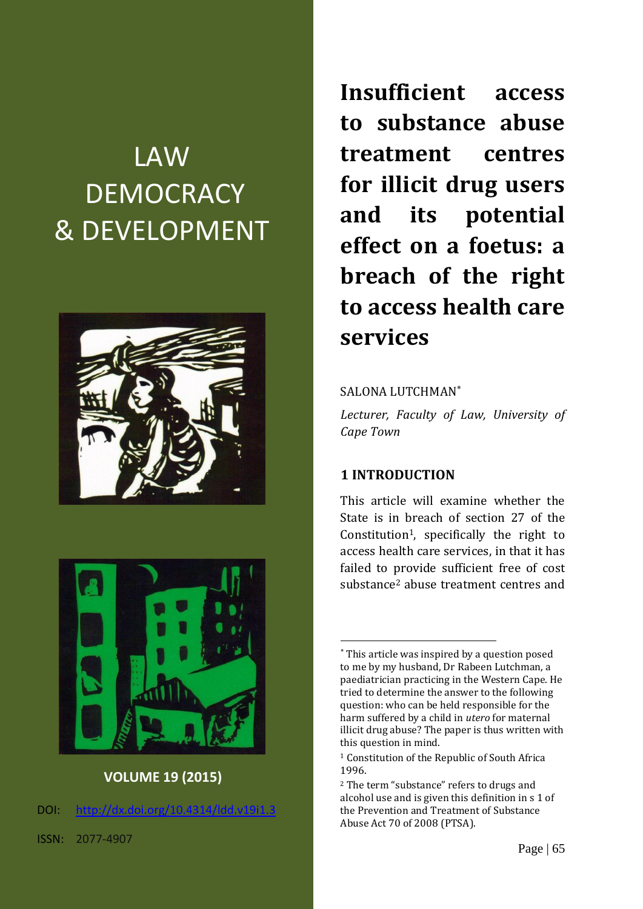# LAW **DEMOCRACY** & DEVELOPMENT





**VOLUME 19 (2015)**

DOI: [http://dx.doi.org/10.4314/ldd.v19i1.3](http://dx.doi.org/10.4314/ldd.v19i1.)

ISSN: 2077-4907

**Insufficient access to substance abuse treatment centres for illicit drug users and its potential effect on a foetus: a breach of the right to access health care services**

#### SALONA LUTCHMAN

*Lecturer, Faculty of Law, University of Cape Town*

# **1 INTRODUCTION**

1

This article will examine whether the State is in breach of section 27 of the Constitution<sup>1</sup>, specifically the right to access health care services, in that it has failed to provide sufficient free of cost substance<sup>2</sup> abuse treatment centres and

This article was inspired by a question posed to me by my husband, Dr Rabeen Lutchman, a paediatrician practicing in the Western Cape. He tried to determine the answer to the following question: who can be held responsible for the harm suffered by a child in *utero* for maternal illicit drug abuse? The paper is thus written with this question in mind.

<sup>1</sup> Constitution of the Republic of South Africa 1996.

<sup>2</sup> The term "substance" refers to drugs and alcohol use and is given this definition in s 1 of the Prevention and Treatment of Substance Abuse Act 70 of 2008 (PTSA).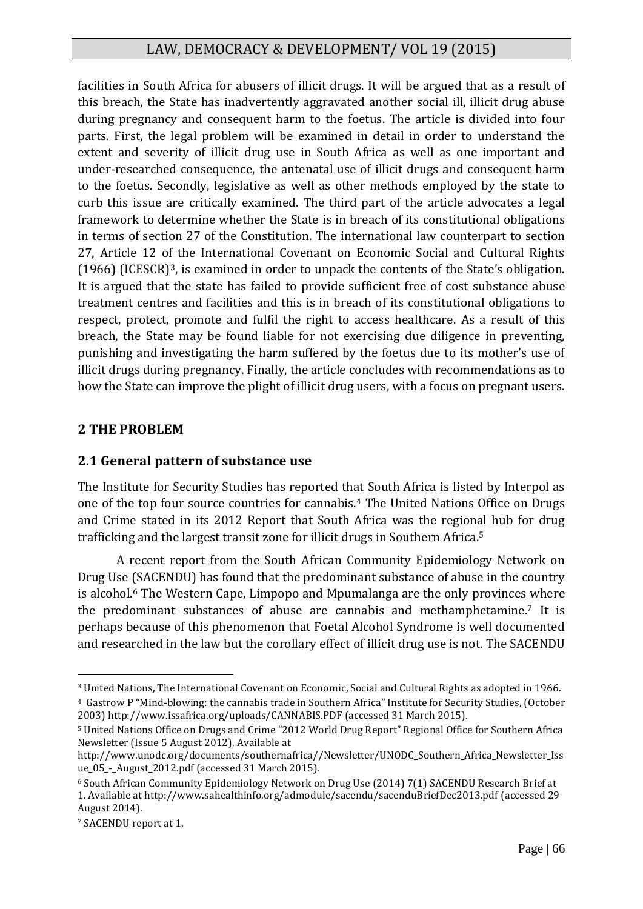facilities in South Africa for abusers of illicit drugs. It will be argued that as a result of this breach, the State has inadvertently aggravated another social ill, illicit drug abuse during pregnancy and consequent harm to the foetus. The article is divided into four parts. First, the legal problem will be examined in detail in order to understand the extent and severity of illicit drug use in South Africa as well as one important and under-researched consequence, the antenatal use of illicit drugs and consequent harm to the foetus. Secondly, legislative as well as other methods employed by the state to curb this issue are critically examined. The third part of the article advocates a legal framework to determine whether the State is in breach of its constitutional obligations in terms of section 27 of the Constitution. The international law counterpart to section 27, Article 12 of the International Covenant on Economic Social and Cultural Rights (1966) (ICESCR)3, is examined in order to unpack the contents of the State's obligation. It is argued that the state has failed to provide sufficient free of cost substance abuse treatment centres and facilities and this is in breach of its constitutional obligations to respect, protect, promote and fulfil the right to access healthcare. As a result of this breach, the State may be found liable for not exercising due diligence in preventing, punishing and investigating the harm suffered by the foetus due to its mother's use of illicit drugs during pregnancy. Finally, the article concludes with recommendations as to how the State can improve the plight of illicit drug users, with a focus on pregnant users.

### **2 THE PROBLEM**

#### **2.1 General pattern of substance use**

The Institute for Security Studies has reported that South Africa is listed by Interpol as one of the top four source countries for cannabis.<sup>4</sup> The United Nations Office on Drugs and Crime stated in its 2012 Report that South Africa was the regional hub for drug trafficking and the largest transit zone for illicit drugs in Southern Africa.<sup>5</sup>

A recent report from the South African Community Epidemiology Network on Drug Use (SACENDU) has found that the predominant substance of abuse in the country is alcohol. <sup>6</sup> The Western Cape, Limpopo and Mpumalanga are the only provinces where the predominant substances of abuse are cannabis and methamphetamine.<sup>7</sup> It is perhaps because of this phenomenon that Foetal Alcohol Syndrome is well documented and researched in the law but the corollary effect of illicit drug use is not. The SACENDU

<sup>3</sup> United Nations, The International Covenant on Economic, Social and Cultural Rights as adopted in 1966.

<sup>4</sup> Gastrow P "Mind-blowing: the cannabis trade in Southern Africa" Institute for Security Studies, (October 2003) http://www.issafrica.org/uploads/CANNABIS.PDF (accessed 31 March 2015).

<sup>5</sup> United Nations Office on Drugs and Crime "2012 World Drug Report" Regional Office for Southern Africa Newsletter (Issue 5 August 2012). Available at

http://www.unodc.org/documents/southernafrica//Newsletter/UNODC\_Southern\_Africa\_Newsletter\_Iss ue\_05\_-\_August\_2012.pdf (accessed 31 March 2015).

<sup>6</sup> South African Community Epidemiology Network on Drug Use (2014) 7(1) SACENDU Research Brief at 1. Available at http://www.sahealthinfo.org/admodule/sacendu/sacenduBriefDec2013.pdf (accessed 29 August 2014).

<sup>7</sup> SACENDU report at 1.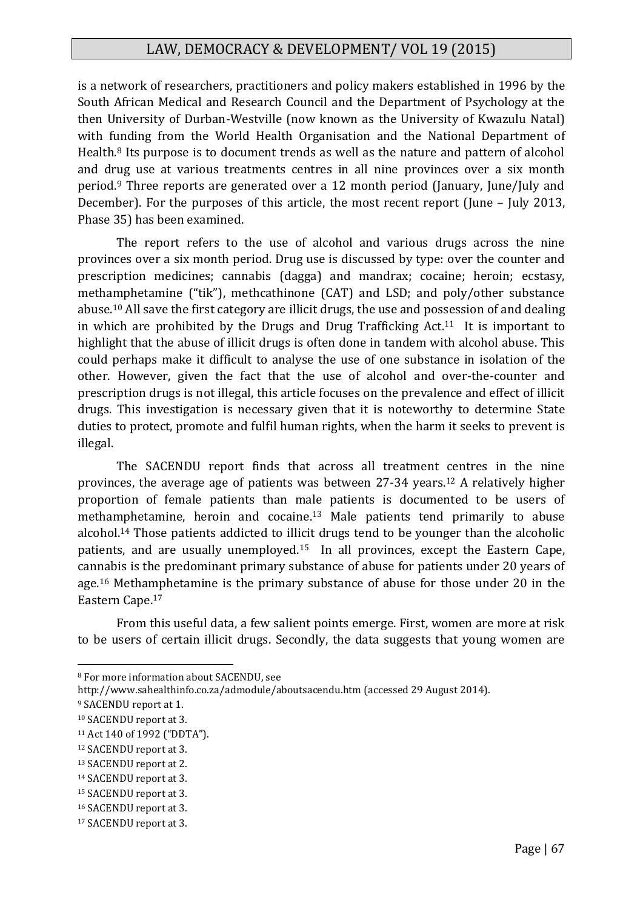is a network of researchers, practitioners and policy makers established in 1996 by the South African Medical and Research Council and the Department of Psychology at the then University of Durban-Westville (now known as the University of Kwazulu Natal) with funding from the World Health Organisation and the National Department of Health.<sup>8</sup> Its purpose is to document trends as well as the nature and pattern of alcohol and drug use at various treatments centres in all nine provinces over a six month period.<sup>9</sup> Three reports are generated over a 12 month period (January, June/July and December). For the purposes of this article, the most recent report (June – July 2013, Phase 35) has been examined.

The report refers to the use of alcohol and various drugs across the nine provinces over a six month period. Drug use is discussed by type: over the counter and prescription medicines; cannabis (dagga) and mandrax; cocaine; heroin; ecstasy, methamphetamine ("tik"), methcathinone (CAT) and LSD; and poly/other substance abuse.<sup>10</sup> All save the first category are illicit drugs, the use and possession of and dealing in which are prohibited by the Drugs and Drug Trafficking  $Act.^{11}$  It is important to highlight that the abuse of illicit drugs is often done in tandem with alcohol abuse. This could perhaps make it difficult to analyse the use of one substance in isolation of the other. However, given the fact that the use of alcohol and over-the-counter and prescription drugs is not illegal, this article focuses on the prevalence and effect of illicit drugs. This investigation is necessary given that it is noteworthy to determine State duties to protect, promote and fulfil human rights, when the harm it seeks to prevent is illegal.

The SACENDU report finds that across all treatment centres in the nine provinces, the average age of patients was between 27-34 years. <sup>12</sup> A relatively higher proportion of female patients than male patients is documented to be users of methamphetamine, heroin and cocaine.<sup>13</sup> Male patients tend primarily to abuse alcohol.<sup>14</sup> Those patients addicted to illicit drugs tend to be younger than the alcoholic patients, and are usually unemployed.<sup>15</sup> In all provinces, except the Eastern Cape, cannabis is the predominant primary substance of abuse for patients under 20 years of age.<sup>16</sup> Methamphetamine is the primary substance of abuse for those under 20 in the Eastern Cape.<sup>17</sup>

From this useful data, a few salient points emerge. First, women are more at risk to be users of certain illicit drugs. Secondly, the data suggests that young women are

<u>.</u>

<sup>8</sup> For more information about SACENDU, see

http://www.sahealthinfo.co.za/admodule/aboutsacendu.htm (accessed 29 August 2014).

<sup>9</sup> SACENDU report at 1.

<sup>10</sup> SACENDU report at 3.

<sup>11</sup> Act 140 of 1992 ("DDTA").

<sup>12</sup> SACENDU report at 3.

<sup>13</sup> SACENDU report at 2.

<sup>14</sup> SACENDU report at 3.

<sup>15</sup> SACENDU report at 3.

<sup>16</sup> SACENDU report at 3.

<sup>17</sup> SACENDU report at 3.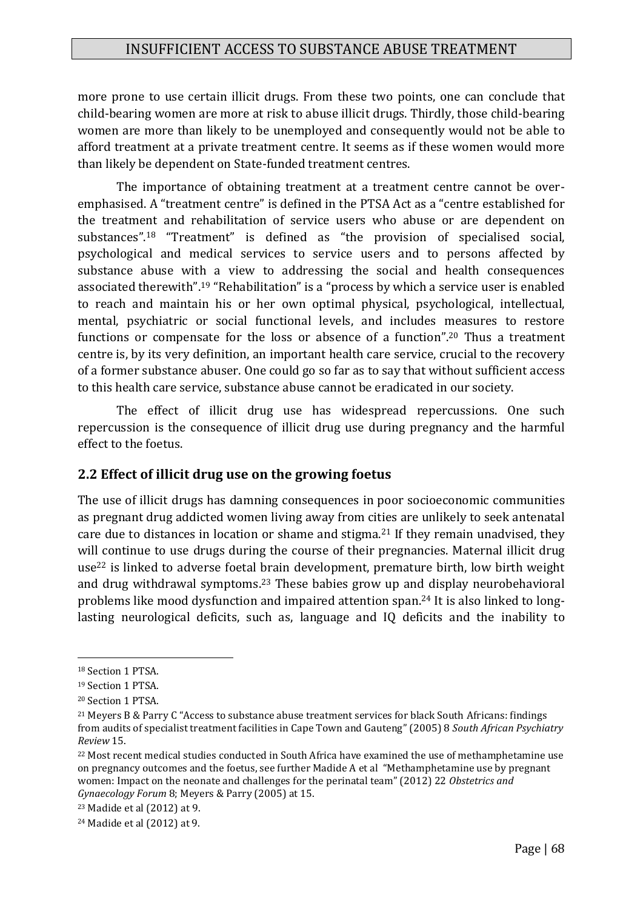more prone to use certain illicit drugs. From these two points, one can conclude that child-bearing women are more at risk to abuse illicit drugs. Thirdly, those child-bearing women are more than likely to be unemployed and consequently would not be able to afford treatment at a private treatment centre. It seems as if these women would more than likely be dependent on State-funded treatment centres.

The importance of obtaining treatment at a treatment centre cannot be overemphasised. A "treatment centre" is defined in the PTSA Act as a "centre established for the treatment and rehabilitation of service users who abuse or are dependent on substances".<sup>18</sup> "Treatment" is defined as "the provision of specialised social, psychological and medical services to service users and to persons affected by substance abuse with a view to addressing the social and health consequences associated therewith". <sup>19</sup> "Rehabilitation" is a "process by which a service user is enabled to reach and maintain his or her own optimal physical, psychological, intellectual, mental, psychiatric or social functional levels, and includes measures to restore functions or compensate for the loss or absence of a function".<sup>20</sup> Thus a treatment centre is, by its very definition, an important health care service, crucial to the recovery of a former substance abuser. One could go so far as to say that without sufficient access to this health care service, substance abuse cannot be eradicated in our society.

The effect of illicit drug use has widespread repercussions. One such repercussion is the consequence of illicit drug use during pregnancy and the harmful effect to the foetus.

### **2.2 Effect of illicit drug use on the growing foetus**

The use of illicit drugs has damning consequences in poor socioeconomic communities as pregnant drug addicted women living away from cities are unlikely to seek antenatal care due to distances in location or shame and stigma.<sup>21</sup> If they remain unadvised, they will continue to use drugs during the course of their pregnancies. Maternal illicit drug use<sup>22</sup> is linked to adverse foetal brain development, premature birth, low birth weight and drug withdrawal symptoms. <sup>23</sup> These babies grow up and display neurobehavioral problems like mood dysfunction and impaired attention span.<sup>24</sup> It is also linked to longlasting neurological deficits, such as, language and IQ deficits and the inability to

<sup>18</sup> Section 1 PTSA.

<sup>19</sup> Section 1 PTSA.

<sup>20</sup> Section 1 PTSA.

<sup>21</sup> Meyers B & Parry C "Access to substance abuse treatment services for black South Africans: findings from audits of specialist treatment facilities in Cape Town and Gauteng" (2005) 8 *South African Psychiatry Review* 15.

<sup>&</sup>lt;sup>22</sup> Most recent medical studies conducted in South Africa have examined the use of methamphetamine use on pregnancy outcomes and the foetus, see further Madide A et al "Methamphetamine use by pregnant women: Impact on the neonate and challenges for the perinatal team" (2012) 22 *Obstetrics and Gynaecology Forum* 8; Meyers & Parry (2005) at 15.

<sup>23</sup> Madide et al (2012) at 9.

<sup>24</sup> Madide et al (2012) at 9.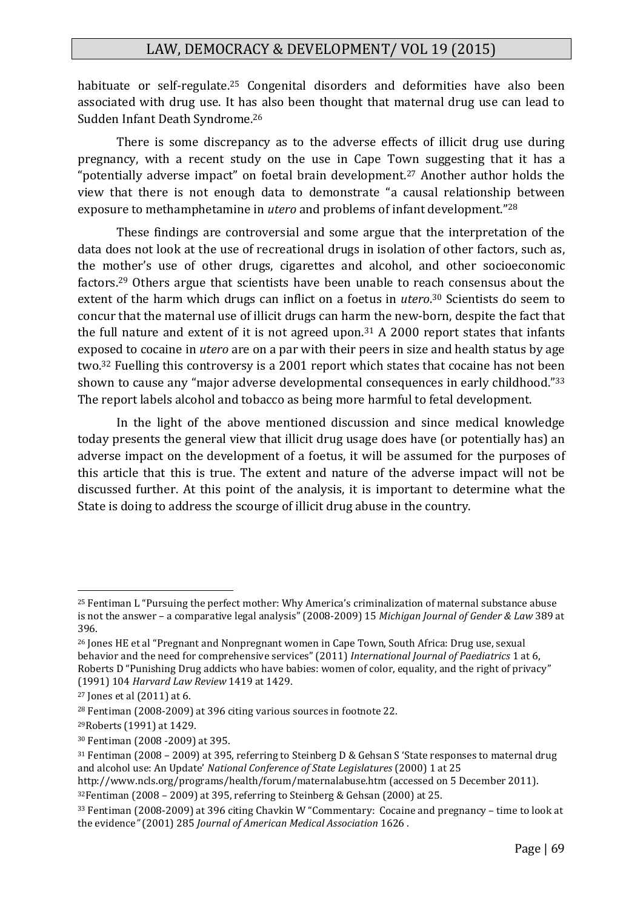habituate or self-regulate.<sup>25</sup> Congenital disorders and deformities have also been associated with drug use. It has also been thought that maternal drug use can lead to Sudden Infant Death Syndrome.<sup>26</sup>

There is some discrepancy as to the adverse effects of illicit drug use during pregnancy, with a recent study on the use in Cape Town suggesting that it has a "potentially adverse impact" on foetal brain development.<sup>27</sup> Another author holds the view that there is not enough data to demonstrate "a causal relationship between exposure to methamphetamine in *utero* and problems of infant development."<sup>28</sup>

These findings are controversial and some argue that the interpretation of the data does not look at the use of recreational drugs in isolation of other factors, such as, the mother's use of other drugs, cigarettes and alcohol, and other socioeconomic factors.<sup>29</sup> Others argue that scientists have been unable to reach consensus about the extent of the harm which drugs can inflict on a foetus in *utero*. <sup>30</sup> Scientists do seem to concur that the maternal use of illicit drugs can harm the new-born, despite the fact that the full nature and extent of it is not agreed upon.<sup>31</sup> A 2000 report states that infants exposed to cocaine in *utero* are on a par with their peers in size and health status by age two.<sup>32</sup> Fuelling this controversy is a 2001 report which states that cocaine has not been shown to cause any "major adverse developmental consequences in early childhood."<sup>33</sup> The report labels alcohol and tobacco as being more harmful to fetal development.

In the light of the above mentioned discussion and since medical knowledge today presents the general view that illicit drug usage does have (or potentially has) an adverse impact on the development of a foetus, it will be assumed for the purposes of this article that this is true. The extent and nature of the adverse impact will not be discussed further. At this point of the analysis, it is important to determine what the State is doing to address the scourge of illicit drug abuse in the country.

1

http://www.ncls.org/programs/health/forum/maternalabuse.htm (accessed on 5 December 2011). <sup>32</sup>Fentiman (2008 – 2009) at 395, referring to Steinberg & Gehsan (2000) at 25.

<sup>25</sup> Fentiman L "Pursuing the perfect mother: Why America's criminalization of maternal substance abuse is not the answer – a comparative legal analysis" (2008-2009) 15 *Michigan Journal of Gender & Law* 389 at 396.

<sup>26</sup> Jones HE et al "Pregnant and Nonpregnant women in Cape Town, South Africa: Drug use, sexual behavior and the need for comprehensive services" (2011) *International Journal of Paediatrics* 1 at 6, Roberts D "Punishing Drug addicts who have babies: women of color, equality, and the right of privacy" (1991) 104 *Harvard Law Review* 1419 at 1429.

<sup>27</sup> Jones et al (2011) at 6.

<sup>28</sup> Fentiman (2008-2009) at 396 citing various sources in footnote 22.

<sup>29</sup>Roberts (1991) at 1429.

<sup>30</sup> Fentiman (2008 -2009) at 395.

<sup>31</sup> Fentiman (2008 – 2009) at 395, referring to Steinberg D & Gehsan S 'State responses to maternal drug and alcohol use: An Update' *National Conference of State Legislatures* (2000) 1 at 25

<sup>33</sup> Fentiman (2008-2009) at 396 citing Chavkin W "Commentary: Cocaine and pregnancy – time to look at the evidence*"* (2001) 285 *Journal of American Medical Association* 1626 .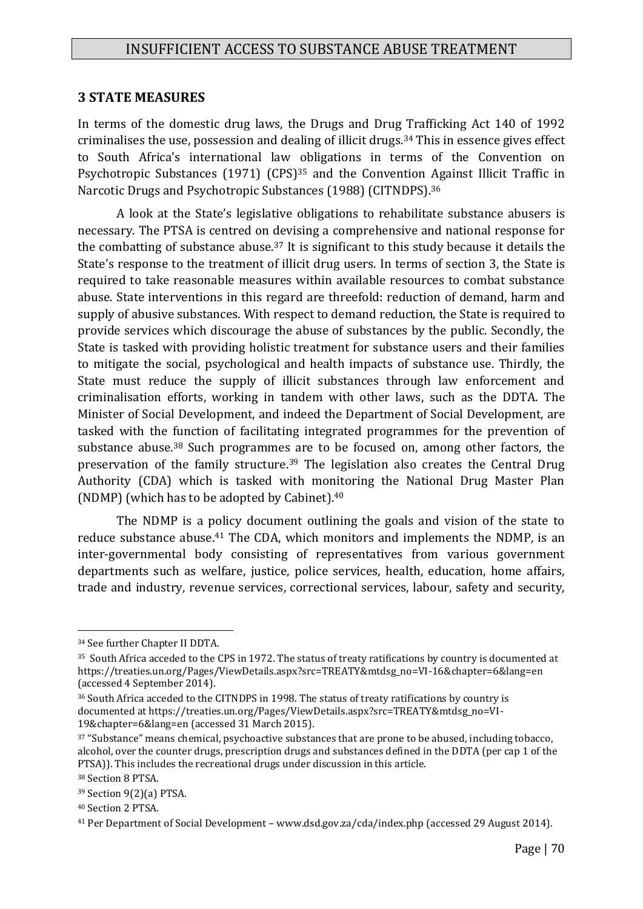#### **3 STATE MEASURES**

In terms of the domestic drug laws, the Drugs and Drug Trafficking Act 140 of 1992 criminalises the use, possession and dealing of illicit drugs.<sup>34</sup> This in essence gives effect to South Africa's international law obligations in terms of the Convention on Psychotropic Substances (1971) (CPS)<sup>35</sup> and the Convention Against Illicit Traffic in Narcotic Drugs and Psychotropic Substances (1988) (CITNDPS). 36

A look at the State's legislative obligations to rehabilitate substance abusers is necessary. The PTSA is centred on devising a comprehensive and national response for the combatting of substance abuse.<sup>37</sup> It is significant to this study because it details the State's response to the treatment of illicit drug users. In terms of section 3, the State is required to take reasonable measures within available resources to combat substance abuse. State interventions in this regard are threefold: reduction of demand, harm and supply of abusive substances. With respect to demand reduction, the State is required to provide services which discourage the abuse of substances by the public. Secondly, the State is tasked with providing holistic treatment for substance users and their families to mitigate the social, psychological and health impacts of substance use. Thirdly, the State must reduce the supply of illicit substances through law enforcement and criminalisation efforts, working in tandem with other laws, such as the DDTA. The Minister of Social Development, and indeed the Department of Social Development, are tasked with the function of facilitating integrated programmes for the prevention of substance abuse.<sup>38</sup> Such programmes are to be focused on, among other factors, the preservation of the family structure.<sup>39</sup> The legislation also creates the Central Drug Authority (CDA) which is tasked with monitoring the National Drug Master Plan (NDMP) (which has to be adopted by Cabinet). 40

The NDMP is a policy document outlining the goals and vision of the state to reduce substance abuse.<sup>41</sup> The CDA, which monitors and implements the NDMP, is an inter-governmental body consisting of representatives from various government departments such as welfare, justice, police services, health, education, home affairs, trade and industry, revenue services, correctional services, labour, safety and security,

<sup>34</sup> See further Chapter II DDTA.

<sup>35</sup> South Africa acceded to the CPS in 1972. The status of treaty ratifications by country is documented at https://treaties.un.org/Pages/ViewDetails.aspx?src=TREATY&mtdsg\_no=VI-16&chapter=6&lang=en (accessed 4 September 2014).

<sup>36</sup> South Africa acceded to the CITNDPS in 1998. The status of treaty ratifications by country is documented at https://treaties.un.org/Pages/ViewDetails.aspx?src=TREATY&mtdsg\_no=VI-19&chapter=6&lang=en (accessed 31 March 2015).

<sup>37</sup> "Substance" means chemical, psychoactive substances that are prone to be abused, including tobacco, alcohol, over the counter drugs, prescription drugs and substances defined in the DDTA (per cap 1 of the PTSA)). This includes the recreational drugs under discussion in this article.

<sup>38</sup> Section 8 PTSA.

<sup>39</sup> Section 9(2)(a) PTSA.

<sup>40</sup> Section 2 PTSA.

<sup>41</sup> Per Department of Social Development – www.dsd.gov.za/cda/index.php (accessed 29 August 2014).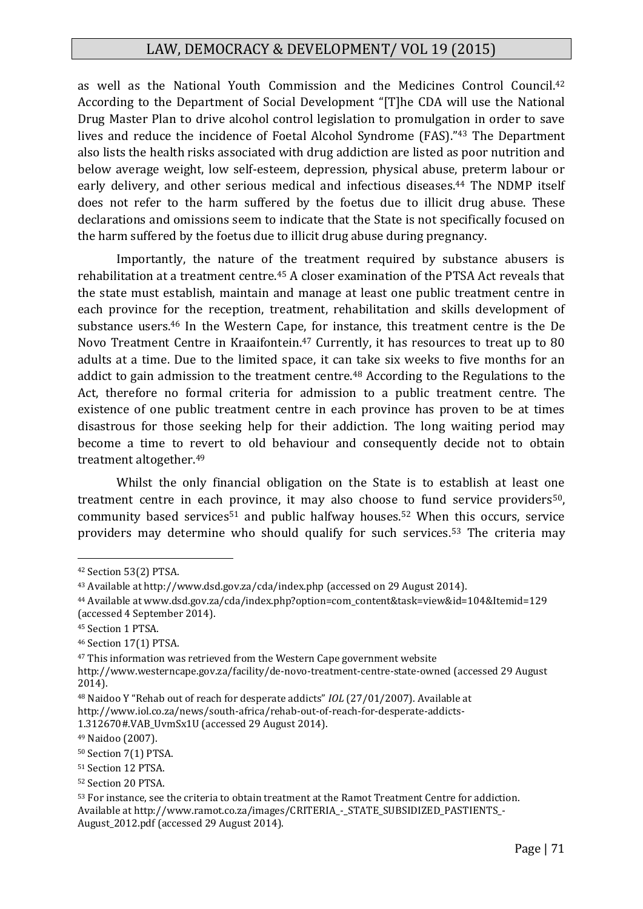as well as the National Youth Commission and the Medicines Control Council.<sup>42</sup> According to the Department of Social Development "[T]he CDA will use the National Drug Master Plan to drive alcohol control legislation to promulgation in order to save lives and reduce the incidence of Foetal Alcohol Syndrome (FAS)."<sup>43</sup> The Department also lists the health risks associated with drug addiction are listed as poor nutrition and below average weight, low self-esteem, depression, physical abuse, preterm labour or early delivery, and other serious medical and infectious diseases.<sup>44</sup> The NDMP itself does not refer to the harm suffered by the foetus due to illicit drug abuse. These declarations and omissions seem to indicate that the State is not specifically focused on the harm suffered by the foetus due to illicit drug abuse during pregnancy.

Importantly, the nature of the treatment required by substance abusers is rehabilitation at a treatment centre.<sup>45</sup> A closer examination of the PTSA Act reveals that the state must establish, maintain and manage at least one public treatment centre in each province for the reception, treatment, rehabilitation and skills development of substance users.<sup>46</sup> In the Western Cape, for instance, this treatment centre is the De Novo Treatment Centre in Kraaifontein.<sup>47</sup> Currently, it has resources to treat up to 80 adults at a time. Due to the limited space, it can take six weeks to five months for an addict to gain admission to the treatment centre.<sup>48</sup> According to the Regulations to the Act, therefore no formal criteria for admission to a public treatment centre. The existence of one public treatment centre in each province has proven to be at times disastrous for those seeking help for their addiction. The long waiting period may become a time to revert to old behaviour and consequently decide not to obtain treatment altogether.<sup>49</sup>

Whilst the only financial obligation on the State is to establish at least one treatment centre in each province, it may also choose to fund service providers<sup>50</sup>, community based services<sup>51</sup> and public halfway houses.<sup>52</sup> When this occurs, service providers may determine who should qualify for such services. <sup>53</sup> The criteria may

<u>.</u>

<sup>42</sup> Section 53(2) PTSA.

<sup>43</sup> Available at http://www.dsd.gov.za/cda/index.php (accessed on 29 August 2014).

<sup>44</sup> Available at www.dsd.gov.za/cda/index.php?option=com\_content&task=view&id=104&Itemid=129 (accessed 4 September 2014).

<sup>45</sup> Section 1 PTSA.

<sup>46</sup> Section 17(1) PTSA.

<sup>&</sup>lt;sup>47</sup> This information was retrieved from the Western Cape government website

http://www.westerncape.gov.za/facility/de-novo-treatment-centre-state-owned (accessed 29 August 2014).

<sup>48</sup> Naidoo Y "Rehab out of reach for desperate addicts" *IOL* (27/01/2007). Available at http://www.iol.co.za/news/south-africa/rehab-out-of-reach-for-desperate-addicts-

<sup>1.312670#.</sup>VAB\_UvmSx1U (accessed 29 August 2014).

<sup>49</sup> Naidoo (2007).

<sup>50</sup> Section 7(1) PTSA.

<sup>51</sup> Section 12 PTSA.

<sup>52</sup> Section 20 PTSA.

<sup>53</sup> For instance, see the criteria to obtain treatment at the Ramot Treatment Centre for addiction. Available at http://www.ramot.co.za/images/CRITERIA\_-\_STATE\_SUBSIDIZED\_PASTIENTS\_- August\_2012.pdf (accessed 29 August 2014).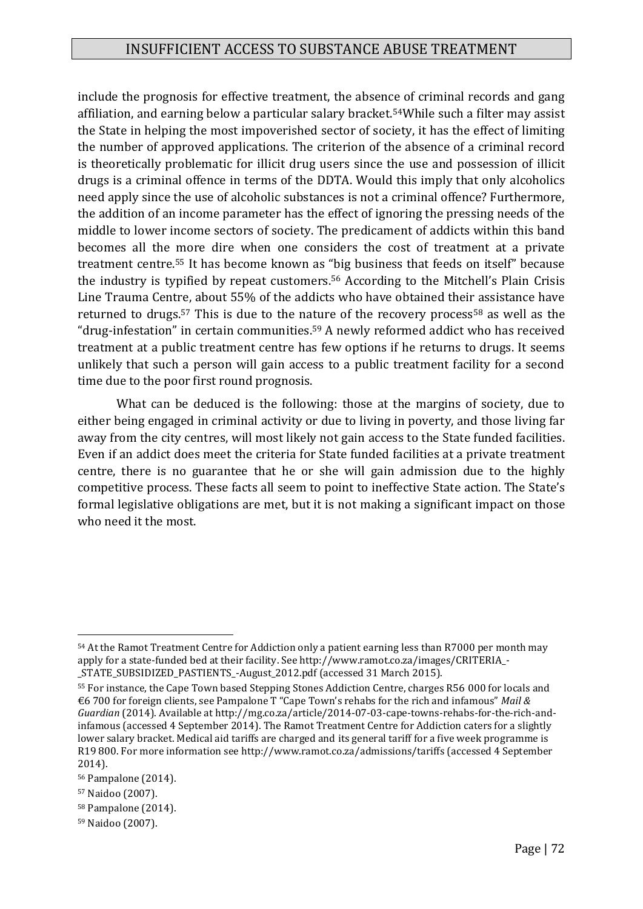include the prognosis for effective treatment, the absence of criminal records and gang affiliation, and earning below a particular salary bracket.54While such a filter may assist the State in helping the most impoverished sector of society, it has the effect of limiting the number of approved applications. The criterion of the absence of a criminal record is theoretically problematic for illicit drug users since the use and possession of illicit drugs is a criminal offence in terms of the DDTA. Would this imply that only alcoholics need apply since the use of alcoholic substances is not a criminal offence? Furthermore, the addition of an income parameter has the effect of ignoring the pressing needs of the middle to lower income sectors of society. The predicament of addicts within this band becomes all the more dire when one considers the cost of treatment at a private treatment centre.<sup>55</sup> It has become known as "big business that feeds on itself" because the industry is typified by repeat customers.<sup>56</sup> According to the Mitchell's Plain Crisis Line Trauma Centre, about 55% of the addicts who have obtained their assistance have returned to drugs.<sup>57</sup> This is due to the nature of the recovery process<sup>58</sup> as well as the "drug-infestation" in certain communities.<sup>59</sup> A newly reformed addict who has received treatment at a public treatment centre has few options if he returns to drugs. It seems unlikely that such a person will gain access to a public treatment facility for a second time due to the poor first round prognosis.

What can be deduced is the following: those at the margins of society, due to either being engaged in criminal activity or due to living in poverty, and those living far away from the city centres, will most likely not gain access to the State funded facilities. Even if an addict does meet the criteria for State funded facilities at a private treatment centre, there is no guarantee that he or she will gain admission due to the highly competitive process. These facts all seem to point to ineffective State action. The State's formal legislative obligations are met, but it is not making a significant impact on those who need it the most.

<sup>54</sup> At the Ramot Treatment Centre for Addiction only a patient earning less than R7000 per month may apply for a state-funded bed at their facility. See http://www.ramot.co.za/images/CRITERIA\_- \_STATE\_SUBSIDIZED\_PASTIENTS\_-August\_2012.pdf (accessed 31 March 2015).

<sup>55</sup> For instance, the Cape Town based Stepping Stones Addiction Centre, charges R56 000 for locals and €6 700 for foreign clients, see Pampalone T "Cape Town's rehabs for the rich and infamous" *Mail & Guardian* (2014). Available at http://mg.co.za/article/2014-07-03-cape-towns-rehabs-for-the-rich-andinfamous (accessed 4 September 2014). The Ramot Treatment Centre for Addiction caters for a slightly lower salary bracket. Medical aid tariffs are charged and its general tariff for a five week programme is R19 800. For more information see http://www.ramot.co.za/admissions/tariffs (accessed 4 September 2014).

<sup>56</sup> Pampalone (2014).

<sup>57</sup> Naidoo (2007).

<sup>58</sup> Pampalone (2014).

<sup>59</sup> Naidoo (2007).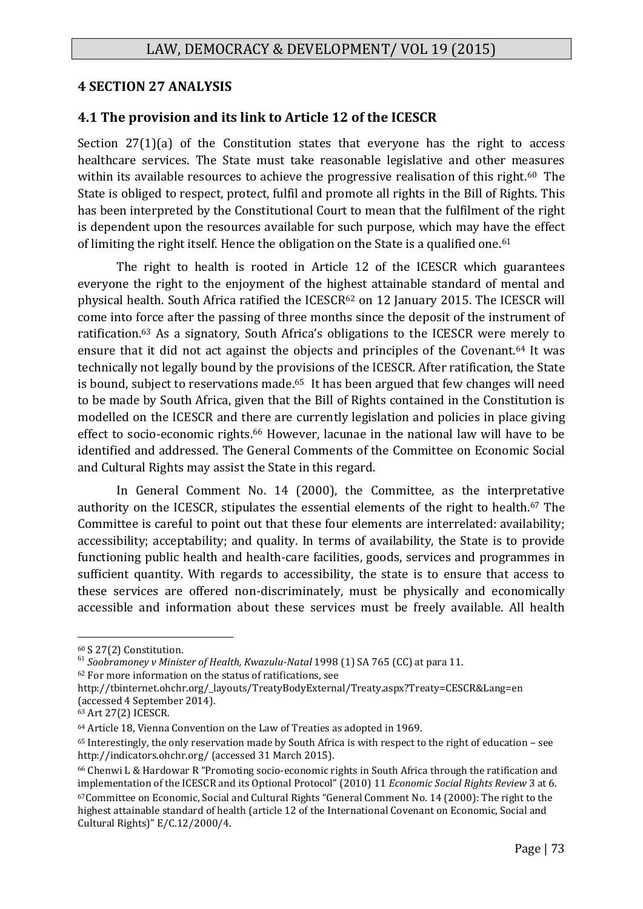#### **4 SECTION 27 ANALYSIS**

#### **4.1 The provision and its link to Article 12 of the ICESCR**

Section 27(1)(a) of the Constitution states that everyone has the right to access healthcare services. The State must take reasonable legislative and other measures within its available resources to achieve the progressive realisation of this right.<sup>60</sup> The State is obliged to respect, protect, fulfil and promote all rights in the Bill of Rights. This has been interpreted by the Constitutional Court to mean that the fulfilment of the right is dependent upon the resources available for such purpose, which may have the effect of limiting the right itself. Hence the obligation on the State is a qualified one.<sup>61</sup>

The right to health is rooted in Article 12 of the ICESCR which guarantees everyone the right to the enjoyment of the highest attainable standard of mental and physical health. South Africa ratified the ICESCR<sup>62</sup> on 12 January 2015. The ICESCR will come into force after the passing of three months since the deposit of the instrument of ratification.<sup>63</sup> As a signatory, South Africa's obligations to the ICESCR were merely to ensure that it did not act against the objects and principles of the Covenant.<sup>64</sup> It was technically not legally bound by the provisions of the ICESCR. After ratification, the State is bound, subject to reservations made.<sup>65</sup> It has been argued that few changes will need to be made by South Africa, given that the Bill of Rights contained in the Constitution is modelled on the ICESCR and there are currently legislation and policies in place giving effect to socio-economic rights.<sup>66</sup> However, lacunae in the national law will have to be identified and addressed. The General Comments of the Committee on Economic Social and Cultural Rights may assist the State in this regard.

In General Comment No. 14 (2000), the Committee, as the interpretative authority on the ICESCR, stipulates the essential elements of the right to health.<sup>67</sup> The Committee is careful to point out that these four elements are interrelated: availability; accessibility; acceptability; and quality. In terms of availability, the State is to provide functioning public health and health-care facilities, goods, services and programmes in sufficient quantity. With regards to accessibility, the state is to ensure that access to these services are offered non-discriminately, must be physically and economically accessible and information about these services must be freely available. All health

1

<sup>62</sup> For more information on the status of ratifications, see

<sup>60</sup> S 27(2) Constitution.

<sup>61</sup> *Soobramoney v Minister of Health, Kwazulu-Natal* 1998 (1) SA 765 (CC) at para 11.

http://tbinternet.ohchr.org/\_layouts/TreatyBodyExternal/Treaty.aspx?Treaty=CESCR&Lang=en (accessed 4 September 2014).

<sup>63</sup> Art 27(2) ICESCR.

<sup>64</sup> Article 18, Vienna Convention on the Law of Treaties as adopted in 1969.

<sup>65</sup> Interestingly, the only reservation made by South Africa is with respect to the right of education – see http://indicators.ohchr.org/ (accessed 31 March 2015).

<sup>66</sup> Chenwi L & Hardowar R "Promoting socio-economic rights in South Africa through the ratification and implementation of the ICESCR and its Optional Protocol" (2010) 11 *Economic Social Rights Review* 3 at 6. <sup>67</sup>Committee on Economic, Social and Cultural Rights "General Comment No. 14 (2000): The right to the highest attainable standard of health (article 12 of the International Covenant on Economic, Social and Cultural Rights)" E/C.12/2000/4.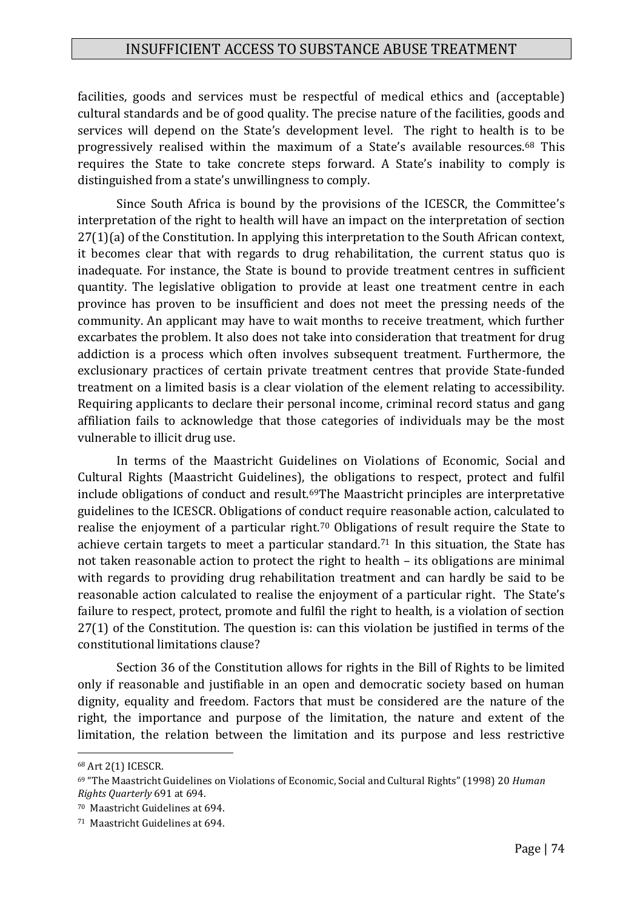facilities, goods and services must be respectful of medical ethics and (acceptable) cultural standards and be of good quality. The precise nature of the facilities, goods and services will depend on the State's development level. The right to health is to be progressively realised within the maximum of a State's available resources.<sup>68</sup> This requires the State to take concrete steps forward. A State's inability to comply is distinguished from a state's unwillingness to comply.

Since South Africa is bound by the provisions of the ICESCR, the Committee's interpretation of the right to health will have an impact on the interpretation of section 27(1)(a) of the Constitution. In applying this interpretation to the South African context, it becomes clear that with regards to drug rehabilitation, the current status quo is inadequate. For instance, the State is bound to provide treatment centres in sufficient quantity. The legislative obligation to provide at least one treatment centre in each province has proven to be insufficient and does not meet the pressing needs of the community. An applicant may have to wait months to receive treatment, which further excarbates the problem. It also does not take into consideration that treatment for drug addiction is a process which often involves subsequent treatment. Furthermore, the exclusionary practices of certain private treatment centres that provide State-funded treatment on a limited basis is a clear violation of the element relating to accessibility. Requiring applicants to declare their personal income, criminal record status and gang affiliation fails to acknowledge that those categories of individuals may be the most vulnerable to illicit drug use.

In terms of the Maastricht Guidelines on Violations of Economic, Social and Cultural Rights (Maastricht Guidelines), the obligations to respect, protect and fulfil include obligations of conduct and result.69The Maastricht principles are interpretative guidelines to the ICESCR. Obligations of conduct require reasonable action, calculated to realise the enjoyment of a particular right.<sup>70</sup> Obligations of result require the State to achieve certain targets to meet a particular standard.<sup>71</sup> In this situation, the State has not taken reasonable action to protect the right to health – its obligations are minimal with regards to providing drug rehabilitation treatment and can hardly be said to be reasonable action calculated to realise the enjoyment of a particular right. The State's failure to respect, protect, promote and fulfil the right to health, is a violation of section 27(1) of the Constitution. The question is: can this violation be justified in terms of the constitutional limitations clause?

Section 36 of the Constitution allows for rights in the Bill of Rights to be limited only if reasonable and justifiable in an open and democratic society based on human dignity, equality and freedom. Factors that must be considered are the nature of the right, the importance and purpose of the limitation, the nature and extent of the limitation, the relation between the limitation and its purpose and less restrictive

<sup>68</sup> Art 2(1) ICESCR.

<sup>69</sup> "The Maastricht Guidelines on Violations of Economic, Social and Cultural Rights" (1998) 20 *Human Rights Quarterly* 691 at 694.

<sup>70</sup> Maastricht Guidelines at 694.

<sup>71</sup> Maastricht Guidelines at 694.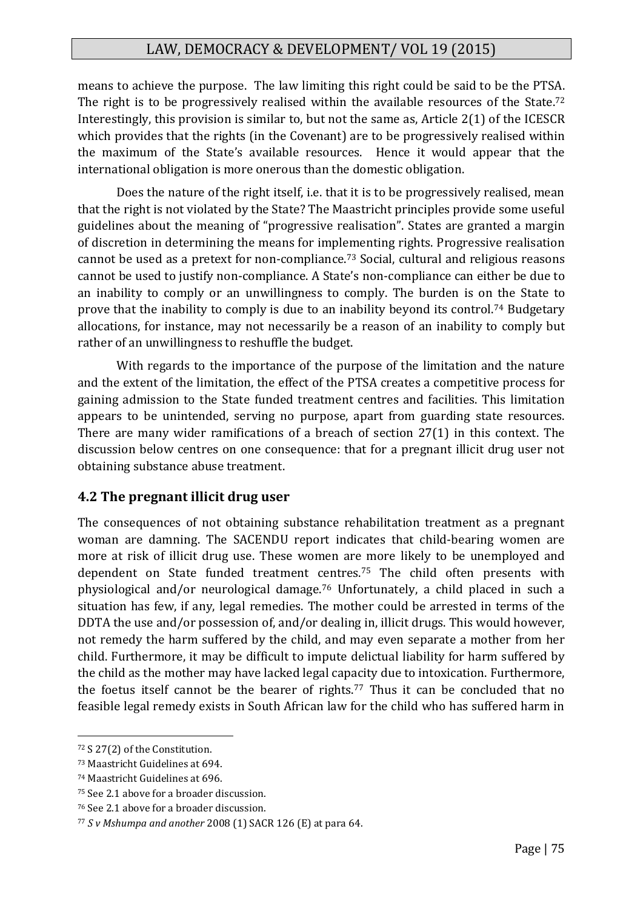means to achieve the purpose. The law limiting this right could be said to be the PTSA. The right is to be progressively realised within the available resources of the State.<sup>72</sup> Interestingly, this provision is similar to, but not the same as, Article 2(1) of the ICESCR which provides that the rights (in the Covenant) are to be progressively realised within the maximum of the State's available resources. Hence it would appear that the international obligation is more onerous than the domestic obligation.

Does the nature of the right itself, i.e. that it is to be progressively realised, mean that the right is not violated by the State? The Maastricht principles provide some useful guidelines about the meaning of "progressive realisation". States are granted a margin of discretion in determining the means for implementing rights. Progressive realisation cannot be used as a pretext for non-compliance.<sup>73</sup> Social, cultural and religious reasons cannot be used to justify non-compliance. A State's non-compliance can either be due to an inability to comply or an unwillingness to comply. The burden is on the State to prove that the inability to comply is due to an inability beyond its control.<sup>74</sup> Budgetary allocations, for instance, may not necessarily be a reason of an inability to comply but rather of an unwillingness to reshuffle the budget.

With regards to the importance of the purpose of the limitation and the nature and the extent of the limitation, the effect of the PTSA creates a competitive process for gaining admission to the State funded treatment centres and facilities. This limitation appears to be unintended, serving no purpose, apart from guarding state resources. There are many wider ramifications of a breach of section 27(1) in this context. The discussion below centres on one consequence: that for a pregnant illicit drug user not obtaining substance abuse treatment.

### **4.2 The pregnant illicit drug user**

The consequences of not obtaining substance rehabilitation treatment as a pregnant woman are damning. The SACENDU report indicates that child-bearing women are more at risk of illicit drug use. These women are more likely to be unemployed and dependent on State funded treatment centres.<sup>75</sup> The child often presents with physiological and/or neurological damage.<sup>76</sup> Unfortunately, a child placed in such a situation has few, if any, legal remedies. The mother could be arrested in terms of the DDTA the use and/or possession of, and/or dealing in, illicit drugs. This would however, not remedy the harm suffered by the child, and may even separate a mother from her child. Furthermore, it may be difficult to impute delictual liability for harm suffered by the child as the mother may have lacked legal capacity due to intoxication. Furthermore, the foetus itself cannot be the bearer of rights.<sup>77</sup> Thus it can be concluded that no feasible legal remedy exists in South African law for the child who has suffered harm in

<sup>72</sup> S 27(2) of the Constitution.

<sup>73</sup> Maastricht Guidelines at 694.

<sup>74</sup> Maastricht Guidelines at 696.

<sup>75</sup> See 2.1 above for a broader discussion.

<sup>76</sup> See 2.1 above for a broader discussion.

<sup>77</sup> *S v Mshumpa and another* 2008 (1) SACR 126 (E) at para 64.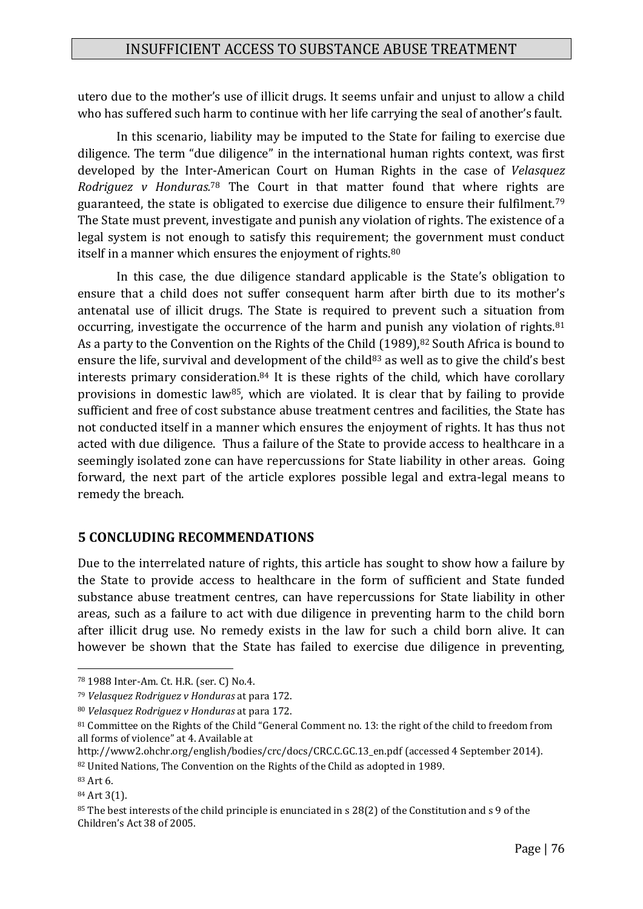utero due to the mother's use of illicit drugs. It seems unfair and unjust to allow a child who has suffered such harm to continue with her life carrying the seal of another's fault.

In this scenario, liability may be imputed to the State for failing to exercise due diligence. The term "due diligence" in the international human rights context, was first developed by the Inter-American Court on Human Rights in the case of *Velasquez Rodriguez v Honduras.* <sup>78</sup> The Court in that matter found that where rights are guaranteed, the state is obligated to exercise due diligence to ensure their fulfilment.<sup>79</sup> The State must prevent, investigate and punish any violation of rights. The existence of a legal system is not enough to satisfy this requirement; the government must conduct itself in a manner which ensures the enjoyment of rights.<sup>80</sup>

In this case, the due diligence standard applicable is the State's obligation to ensure that a child does not suffer consequent harm after birth due to its mother's antenatal use of illicit drugs. The State is required to prevent such a situation from occurring, investigate the occurrence of the harm and punish any violation of rights.<sup>81</sup> As a party to the Convention on the Rights of the Child (1989),<sup>82</sup> South Africa is bound to ensure the life, survival and development of the child<sup>83</sup> as well as to give the child's best interests primary consideration.<sup>84</sup> It is these rights of the child, which have corollary provisions in domestic law85, which are violated. It is clear that by failing to provide sufficient and free of cost substance abuse treatment centres and facilities, the State has not conducted itself in a manner which ensures the enjoyment of rights. It has thus not acted with due diligence. Thus a failure of the State to provide access to healthcare in a seemingly isolated zone can have repercussions for State liability in other areas. Going forward, the next part of the article explores possible legal and extra-legal means to remedy the breach.

### **5 CONCLUDING RECOMMENDATIONS**

Due to the interrelated nature of rights, this article has sought to show how a failure by the State to provide access to healthcare in the form of sufficient and State funded substance abuse treatment centres, can have repercussions for State liability in other areas, such as a failure to act with due diligence in preventing harm to the child born after illicit drug use. No remedy exists in the law for such a child born alive. It can however be shown that the State has failed to exercise due diligence in preventing,

<sup>78</sup> 1988 Inter-Am. Ct. H.R. (ser. C) No.4.

<sup>79</sup> *Velasquez Rodriguez v Honduras* at para 172.

<sup>80</sup> *Velasquez Rodriguez v Honduras* at para 172.

<sup>81</sup> Committee on the Rights of the Child "General Comment no. 13: the right of the child to freedom from all forms of violence" at 4. Available at

http://www2.ohchr.org/english/bodies/crc/docs/CRC.C.GC.13\_en.pdf (accessed 4 September 2014).

<sup>82</sup> United Nations, The Convention on the Rights of the Child as adopted in 1989.

<sup>83</sup> Art 6.

<sup>84</sup> Art 3(1).

<sup>85</sup> The best interests of the child principle is enunciated in s 28(2) of the Constitution and s 9 of the Children's Act 38 of 2005.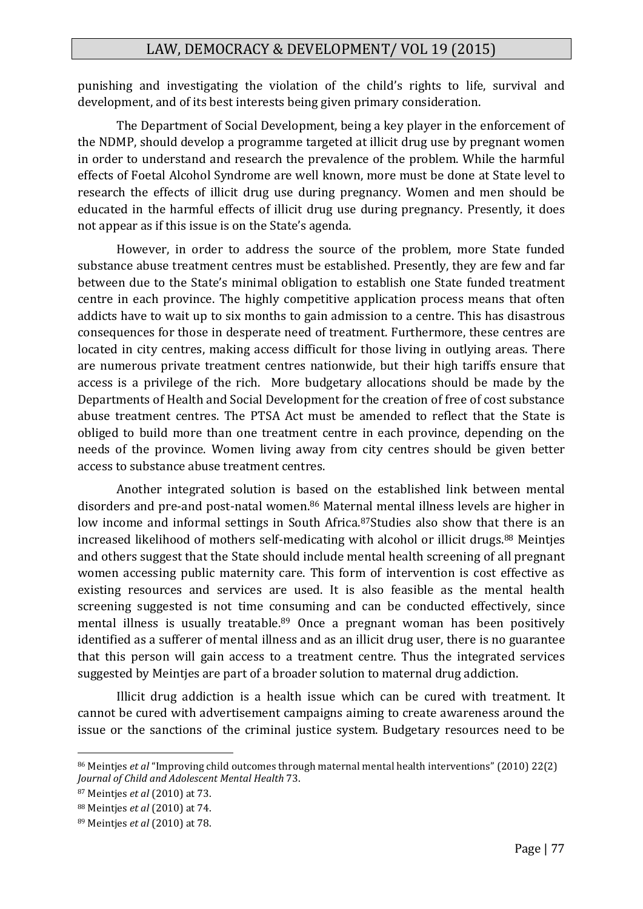punishing and investigating the violation of the child's rights to life, survival and development, and of its best interests being given primary consideration.

The Department of Social Development, being a key player in the enforcement of the NDMP, should develop a programme targeted at illicit drug use by pregnant women in order to understand and research the prevalence of the problem. While the harmful effects of Foetal Alcohol Syndrome are well known, more must be done at State level to research the effects of illicit drug use during pregnancy. Women and men should be educated in the harmful effects of illicit drug use during pregnancy. Presently, it does not appear as if this issue is on the State's agenda.

However, in order to address the source of the problem, more State funded substance abuse treatment centres must be established. Presently, they are few and far between due to the State's minimal obligation to establish one State funded treatment centre in each province. The highly competitive application process means that often addicts have to wait up to six months to gain admission to a centre. This has disastrous consequences for those in desperate need of treatment. Furthermore, these centres are located in city centres, making access difficult for those living in outlying areas. There are numerous private treatment centres nationwide, but their high tariffs ensure that access is a privilege of the rich. More budgetary allocations should be made by the Departments of Health and Social Development for the creation of free of cost substance abuse treatment centres. The PTSA Act must be amended to reflect that the State is obliged to build more than one treatment centre in each province, depending on the needs of the province. Women living away from city centres should be given better access to substance abuse treatment centres.

Another integrated solution is based on the established link between mental disorders and pre-and post-natal women.<sup>86</sup> Maternal mental illness levels are higher in low income and informal settings in South Africa.<sup>87</sup>Studies also show that there is an increased likelihood of mothers self-medicating with alcohol or illicit drugs.<sup>88</sup> Meinties and others suggest that the State should include mental health screening of all pregnant women accessing public maternity care. This form of intervention is cost effective as existing resources and services are used. It is also feasible as the mental health screening suggested is not time consuming and can be conducted effectively, since mental illness is usually treatable.<sup>89</sup> Once a pregnant woman has been positively identified as a sufferer of mental illness and as an illicit drug user, there is no guarantee that this person will gain access to a treatment centre. Thus the integrated services suggested by Meintjes are part of a broader solution to maternal drug addiction.

Illicit drug addiction is a health issue which can be cured with treatment. It cannot be cured with advertisement campaigns aiming to create awareness around the issue or the sanctions of the criminal justice system. Budgetary resources need to be

<sup>86</sup> Meintjes *et al* "Improving child outcomes through maternal mental health interventions" (2010) 22(2) *Journal of Child and Adolescent Mental Health* 73.

<sup>87</sup> Meintjes *et al* (2010) at 73.

<sup>88</sup> Meintjes *et al* (2010) at 74.

<sup>89</sup> Meintjes *et al* (2010) at 78.